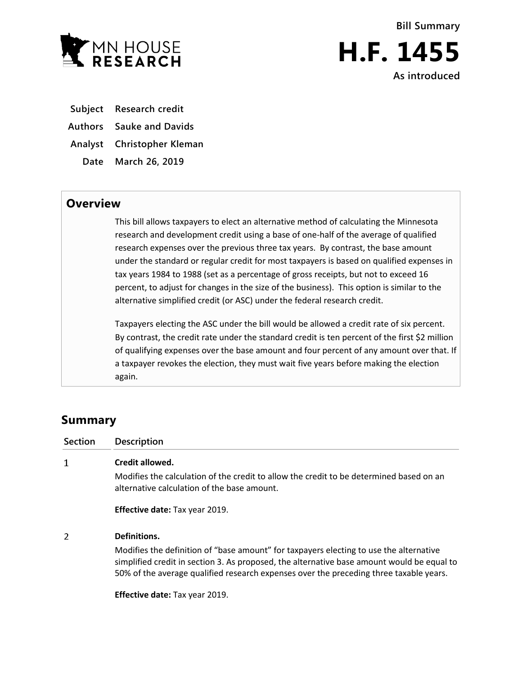



**Subject Research credit**

**Authors Sauke and Davids**

**Analyst Christopher Kleman**

**Date March 26, 2019**

## **Overview**

This bill allows taxpayers to elect an alternative method of calculating the Minnesota research and development credit using a base of one-half of the average of qualified research expenses over the previous three tax years. By contrast, the base amount under the standard or regular credit for most taxpayers is based on qualified expenses in tax years 1984 to 1988 (set as a percentage of gross receipts, but not to exceed 16 percent, to adjust for changes in the size of the business). This option is similar to the alternative simplified credit (or ASC) under the federal research credit.

Taxpayers electing the ASC under the bill would be allowed a credit rate of six percent. By contrast, the credit rate under the standard credit is ten percent of the first \$2 million of qualifying expenses over the base amount and four percent of any amount over that. If a taxpayer revokes the election, they must wait five years before making the election again.

## **Summary**

| <b>Section</b> | <b>Description</b>                                                                                                                                                                                                                                                             |
|----------------|--------------------------------------------------------------------------------------------------------------------------------------------------------------------------------------------------------------------------------------------------------------------------------|
| 1              | Credit allowed.                                                                                                                                                                                                                                                                |
|                | Modifies the calculation of the credit to allow the credit to be determined based on an<br>alternative calculation of the base amount.                                                                                                                                         |
|                | <b>Effective date: Tax year 2019.</b>                                                                                                                                                                                                                                          |
| 2              | Definitions.                                                                                                                                                                                                                                                                   |
|                | Modifies the definition of "base amount" for taxpayers electing to use the alternative<br>simplified credit in section 3. As proposed, the alternative base amount would be equal to<br>50% of the average qualified research expenses over the preceding three taxable years. |

**Effective date:** Tax year 2019.